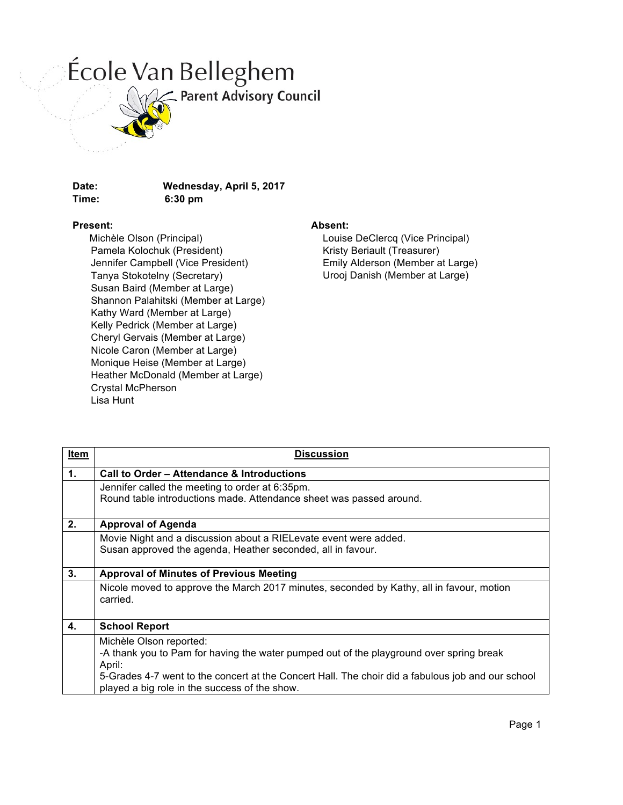## École Van Belleghem



Parent Advisory Council

## **Time: 6:30 pm**

**Date: Wednesday, April 5, 2017**

## **Present:**

 Michèle Olson (Principal) Pamela Kolochuk (President) Jennifer Campbell (Vice President) Tanya Stokotelny (Secretary) Susan Baird (Member at Large) Shannon Palahitski (Member at Large) Kathy Ward (Member at Large) Kelly Pedrick (Member at Large) Cheryl Gervais (Member at Large) Nicole Caron (Member at Large) Monique Heise (Member at Large) Heather McDonald (Member at Large) Crystal McPherson Lisa Hunt

## **Absent:**

Louise DeClercq (Vice Principal) Kristy Beriault (Treasurer) Emily Alderson (Member at Large) Urooj Danish (Member at Large)

| <b>Item</b> | <b>Discussion</b>                                                                                                                                                                                                                                                                  |  |  |
|-------------|------------------------------------------------------------------------------------------------------------------------------------------------------------------------------------------------------------------------------------------------------------------------------------|--|--|
| 1.          | Call to Order - Attendance & Introductions                                                                                                                                                                                                                                         |  |  |
|             | Jennifer called the meeting to order at 6:35pm.                                                                                                                                                                                                                                    |  |  |
|             | Round table introductions made. Attendance sheet was passed around.                                                                                                                                                                                                                |  |  |
| 2.          | <b>Approval of Agenda</b>                                                                                                                                                                                                                                                          |  |  |
|             | Movie Night and a discussion about a RIELevate event were added.                                                                                                                                                                                                                   |  |  |
|             | Susan approved the agenda, Heather seconded, all in favour.                                                                                                                                                                                                                        |  |  |
| 3.          | <b>Approval of Minutes of Previous Meeting</b>                                                                                                                                                                                                                                     |  |  |
|             | Nicole moved to approve the March 2017 minutes, seconded by Kathy, all in favour, motion<br>carried.                                                                                                                                                                               |  |  |
| 4.          | <b>School Report</b>                                                                                                                                                                                                                                                               |  |  |
|             | Michèle Olson reported:<br>-A thank you to Pam for having the water pumped out of the playground over spring break<br>April:<br>5-Grades 4-7 went to the concert at the Concert Hall. The choir did a fabulous job and our school<br>played a big role in the success of the show. |  |  |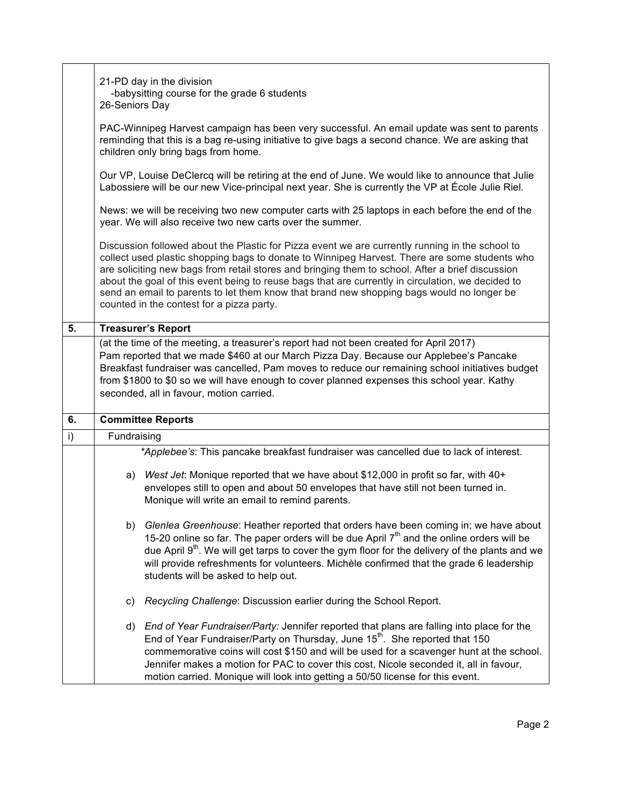|    | 21-PD day in the division<br>-babysitting course for the grade 6 students<br>26-Seniors Day                                                                                                                                             |                                                                                                                                                                                                                                                                                                                                                                                                                                                                                                                                                     |  |  |
|----|-----------------------------------------------------------------------------------------------------------------------------------------------------------------------------------------------------------------------------------------|-----------------------------------------------------------------------------------------------------------------------------------------------------------------------------------------------------------------------------------------------------------------------------------------------------------------------------------------------------------------------------------------------------------------------------------------------------------------------------------------------------------------------------------------------------|--|--|
|    | PAC-Winnipeg Harvest campaign has been very successful. An email update was sent to parents<br>reminding that this is a bag re-using initiative to give bags a second chance. We are asking that<br>children only bring bags from home. |                                                                                                                                                                                                                                                                                                                                                                                                                                                                                                                                                     |  |  |
|    | Our VP, Louise DeClercq will be retiring at the end of June. We would like to announce that Julie<br>Labossiere will be our new Vice-principal next year. She is currently the VP at École Julie Riel.                                  |                                                                                                                                                                                                                                                                                                                                                                                                                                                                                                                                                     |  |  |
|    | News: we will be receiving two new computer carts with 25 laptops in each before the end of the<br>year. We will also receive two new carts over the summer.                                                                            |                                                                                                                                                                                                                                                                                                                                                                                                                                                                                                                                                     |  |  |
|    |                                                                                                                                                                                                                                         | Discussion followed about the Plastic for Pizza event we are currently running in the school to<br>collect used plastic shopping bags to donate to Winnipeg Harvest. There are some students who<br>are soliciting new bags from retail stores and bringing them to school. After a brief discussion<br>about the goal of this event being to reuse bags that are currently in circulation, we decided to<br>send an email to parents to let them know that brand new shopping bags would no longer be<br>counted in the contest for a pizza party. |  |  |
| 5. |                                                                                                                                                                                                                                         | <b>Treasurer's Report</b>                                                                                                                                                                                                                                                                                                                                                                                                                                                                                                                           |  |  |
|    |                                                                                                                                                                                                                                         | (at the time of the meeting, a treasurer's report had not been created for April 2017)<br>Pam reported that we made \$460 at our March Pizza Day. Because our Applebee's Pancake<br>Breakfast fundraiser was cancelled, Pam moves to reduce our remaining school initiatives budget<br>from \$1800 to \$0 so we will have enough to cover planned expenses this school year. Kathy<br>seconded, all in favour, motion carried.                                                                                                                      |  |  |
| 6. | <b>Committee Reports</b>                                                                                                                                                                                                                |                                                                                                                                                                                                                                                                                                                                                                                                                                                                                                                                                     |  |  |
| i) | Fundraising                                                                                                                                                                                                                             |                                                                                                                                                                                                                                                                                                                                                                                                                                                                                                                                                     |  |  |
|    |                                                                                                                                                                                                                                         | *Applebee's: This pancake breakfast fundraiser was cancelled due to lack of interest.                                                                                                                                                                                                                                                                                                                                                                                                                                                               |  |  |
|    | a)                                                                                                                                                                                                                                      | West Jet: Monique reported that we have about \$12,000 in profit so far, with 40+<br>envelopes still to open and about 50 envelopes that have still not been turned in.<br>Monique will write an email to remind parents.                                                                                                                                                                                                                                                                                                                           |  |  |
|    |                                                                                                                                                                                                                                         | b) Glenlea Greenhouse: Heather reported that orders have been coming in; we have about<br>15-20 online so far. The paper orders will be due April $7th$ and the online orders will be<br>due April 9 <sup>th</sup> . We will get tarps to cover the gym floor for the delivery of the plants and we<br>will provide refreshments for volunteers. Michèle confirmed that the grade 6 leadership<br>students will be asked to help out.                                                                                                               |  |  |
|    | C)                                                                                                                                                                                                                                      | Recycling Challenge: Discussion earlier during the School Report.                                                                                                                                                                                                                                                                                                                                                                                                                                                                                   |  |  |
|    | d)                                                                                                                                                                                                                                      | End of Year Fundraiser/Party: Jennifer reported that plans are falling into place for the<br>End of Year Fundraiser/Party on Thursday, June 15 <sup>th</sup> . She reported that 150<br>commemorative coins will cost \$150 and will be used for a scavenger hunt at the school.<br>Jennifer makes a motion for PAC to cover this cost, Nicole seconded it, all in favour,<br>motion carried. Monique will look into getting a 50/50 license for this event.                                                                                        |  |  |

Г

T

٦